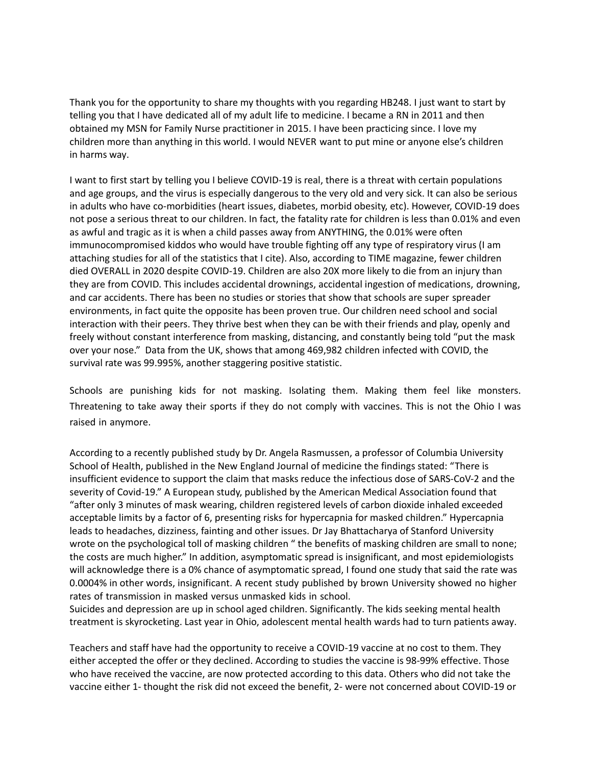children more than anything in this world. I would NEVER want to put mine or anyone else's children Thank you for the opportunity to share my thoughts with you regarding HB248. I just want to start by telling you that I have dedicated all of my adult life to medicine. I became a RN in 2011 and then obtained my MSN for Family Nurse practitioner in 2015. I have been practicing since. I love my in harms way.

 not pose a serious threat to our children. In fact, the fatality rate for children is less than 0.01% and even immunocompromised kiddos who would have trouble fighting off any type of respiratory virus (I am died OVERALL in 2020 despite COVID-19. Children are also 20X more likely to die from an injury than environments, in fact quite the opposite has been proven true. Our children need school and social freely without constant interference from masking, distancing, and constantly being told "put the mask over your nose." Data from the UK, shows that among 469,982 children infected with COVID, the I want to first start by telling you I believe COVID-19 is real, there is a threat with certain populations and age groups, and the virus is especially dangerous to the very old and very sick. It can also be serious in adults who have co-morbidities (heart issues, diabetes, morbid obesity, etc). However, COVID-19 does as awful and tragic as it is when a child passes away from ANYTHING, the 0.01% were often attaching studies for all of the statistics that I cite). Also, according to TIME magazine, fewer children they are from COVID. This includes accidental drownings, accidental ingestion of medications, drowning, and car accidents. There has been no studies or stories that show that schools are super spreader interaction with their peers. They thrive best when they can be with their friends and play, openly and survival rate was 99.995%, another staggering positive statistic.

Schools are punishing kids for not masking. Isolating them. Making them feel like monsters. Threatening to take away their sports if they do not comply with vaccines. This is not the Ohio I was raised in anymore.

 According to a recently published study by Dr. Angela Rasmussen, a professor of Columbia University severity of Covid-19." A European study, published by the American Medical Association found that "after only 3 minutes of mask wearing, children registered levels of carbon dioxide inhaled exceeded wrote on the psychological toll of masking children " the benefits of masking children are small to none; School of Health, published in the New England Journal of medicine the findings stated: "There is insufficient evidence to support the claim that masks reduce the infectious dose of SARS-CoV-2 and the acceptable limits by a factor of 6, presenting risks for hypercapnia for masked children." Hypercapnia leads to headaches, dizziness, fainting and other issues. Dr Jay Bhattacharya of Stanford University the costs are much higher." In addition, asymptomatic spread is insignificant, and most epidemiologists will acknowledge there is a 0% chance of asymptomatic spread, I found one study that said the rate was 0.0004% in other words, insignificant. A recent study published by brown University showed no higher rates of transmission in masked versus unmasked kids in school.

Suicides and depression are up in school aged children. Significantly. The kids seeking mental health treatment is skyrocketing. Last year in Ohio, adolescent mental health wards had to turn patients away.

Teachers and staff have had the opportunity to receive a COVID-19 vaccine at no cost to them. They either accepted the offer or they declined. According to studies the vaccine is 98-99% effective. Those who have received the vaccine, are now protected according to this data. Others who did not take the vaccine either 1- thought the risk did not exceed the benefit, 2- were not concerned about COVID-19 or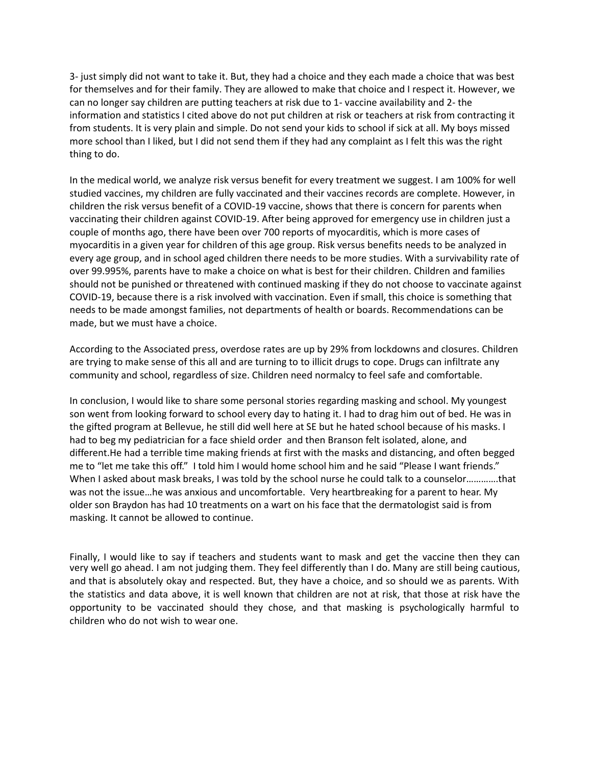3- just simply did not want to take it. But, they had a choice and they each made a choice that was best for themselves and for their family. They are allowed to make that choice and I respect it. However, we can no longer say children are putting teachers at risk due to 1- vaccine availability and 2- the information and statistics I cited above do not put children at risk or teachers at risk from contracting it from students. It is very plain and simple. Do not send your kids to school if sick at all. My boys missed more school than I liked, but I did not send them if they had any complaint as I felt this was the right thing to do.

In the medical world, we analyze risk versus benefit for every treatment we suggest. I am 100% for well studied vaccines, my children are fully vaccinated and their vaccines records are complete. However, in children the risk versus benefit of a COVID-19 vaccine, shows that there is concern for parents when vaccinating their children against COVID-19. After being approved for emergency use in children just a couple of months ago, there have been over 700 reports of myocarditis, which is more cases of myocarditis in a given year for children of this age group. Risk versus benefits needs to be analyzed in every age group, and in school aged children there needs to be more studies. With a survivability rate of over 99.995%, parents have to make a choice on what is best for their children. Children and families should not be punished or threatened with continued masking if they do not choose to vaccinate against COVID-19, because there is a risk involved with vaccination. Even if small, this choice is something that needs to be made amongst families, not departments of health or boards. Recommendations can be made, but we must have a choice.

According to the Associated press, overdose rates are up by 29% from lockdowns and closures. Children are trying to make sense of this all and are turning to to illicit drugs to cope. Drugs can infiltrate any community and school, regardless of size. Children need normalcy to feel safe and comfortable.

 In conclusion, I would like to share some personal stories regarding masking and school. My youngest When I asked about mask breaks, I was told by the school nurse he could talk to a counselor………….that older son Braydon has had 10 treatments on a wart on his face that the dermatologist said is from son went from looking forward to school every day to hating it. I had to drag him out of bed. He was in the gifted program at Bellevue, he still did well here at SE but he hated school because of his masks. I had to beg my pediatrician for a face shield order and then Branson felt isolated, alone, and different.He had a terrible time making friends at first with the masks and distancing, and often begged me to "let me take this off." I told him I would home school him and he said "Please I want friends." was not the issue…he was anxious and uncomfortable. Very heartbreaking for a parent to hear. My masking. It cannot be allowed to continue.

Finally, I would like to say if teachers and students want to mask and get the vaccine then they can very well go ahead. I am not judging them. They feel differently than I do. Many are still being cautious, opportunity to be vaccinated should they chose, and that masking is psychologically harmful t and that is absolutely okay and respected. But, they have a choice, and so should we as parents. With the statistics and data above, it is well known that children are not at risk, that those at risk have the children who do not wish to wear one.